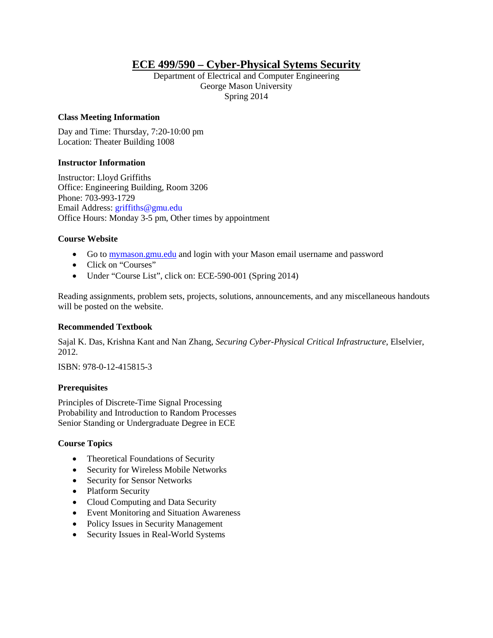# **ECE 499/590 – Cyber-Physical Sytems Security**

Department of Electrical and Computer Engineering George Mason University Spring 2014

### **Class Meeting Information**

Day and Time: Thursday, 7:20-10:00 pm Location: Theater Building 1008

### **Instructor Information**

Instructor: Lloyd Griffiths Office: Engineering Building, Room 3206 Phone: 703-993-1729 Email Address: griffiths@gmu.edu Office Hours: Monday 3-5 pm, Other times by appointment

### **Course Website**

- Go to [mymason.gmu.edu](http://mymason.gmu.edu/) and login with your Mason email username and password
- Click on "Courses"
- Under "Course List", click on: ECE-590-001 (Spring 2014)

Reading assignments, problem sets, projects, solutions, announcements, and any miscellaneous handouts will be posted on the website.

#### **Recommended Textbook**

Sajal K. Das, Krishna Kant and Nan Zhang, *Securing Cyber-Physical Critical Infrastructure*, Elselvier, 2012.

ISBN: 978-0-12-415815-3

### **Prerequisites**

Principles of Discrete-Time Signal Processing Probability and Introduction to Random Processes Senior Standing or Undergraduate Degree in ECE

### **Course Topics**

- Theoretical Foundations of Security
- Security for Wireless Mobile Networks
- Security for Sensor Networks
- Platform Security
- Cloud Computing and Data Security
- Event Monitoring and Situation Awareness
- Policy Issues in Security Management
- Security Issues in Real-World Systems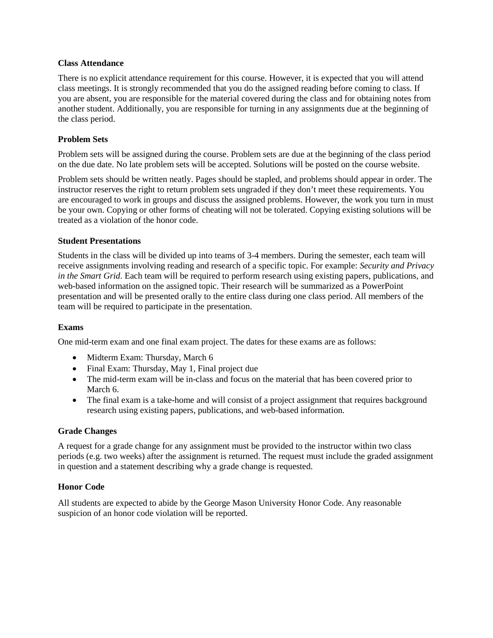### **Class Attendance**

There is no explicit attendance requirement for this course. However, it is expected that you will attend class meetings. It is strongly recommended that you do the assigned reading before coming to class. If you are absent, you are responsible for the material covered during the class and for obtaining notes from another student. Additionally, you are responsible for turning in any assignments due at the beginning of the class period.

### **Problem Sets**

Problem sets will be assigned during the course. Problem sets are due at the beginning of the class period on the due date. No late problem sets will be accepted. Solutions will be posted on the course website.

Problem sets should be written neatly. Pages should be stapled, and problems should appear in order. The instructor reserves the right to return problem sets ungraded if they don't meet these requirements. You are encouraged to work in groups and discuss the assigned problems. However, the work you turn in must be your own. Copying or other forms of cheating will not be tolerated. Copying existing solutions will be treated as a violation of the honor code.

### **Student Presentations**

Students in the class will be divided up into teams of 3-4 members. During the semester, each team will receive assignments involving reading and research of a specific topic. For example: *Security and Privacy in the Smart Grid*. Each team will be required to perform research using existing papers, publications, and web-based information on the assigned topic. Their research will be summarized as a PowerPoint presentation and will be presented orally to the entire class during one class period. All members of the team will be required to participate in the presentation.

### **Exams**

One mid-term exam and one final exam project. The dates for these exams are as follows:

- Midterm Exam: Thursday, March 6
- Final Exam: Thursday, May 1, Final project due
- The mid-term exam will be in-class and focus on the material that has been covered prior to March 6.
- The final exam is a take-home and will consist of a project assignment that requires background research using existing papers, publications, and web-based information.

### **Grade Changes**

A request for a grade change for any assignment must be provided to the instructor within two class periods (e.g. two weeks) after the assignment is returned. The request must include the graded assignment in question and a statement describing why a grade change is requested.

### **Honor Code**

All students are expected to abide by the George Mason University Honor Code. Any reasonable suspicion of an honor code violation will be reported.